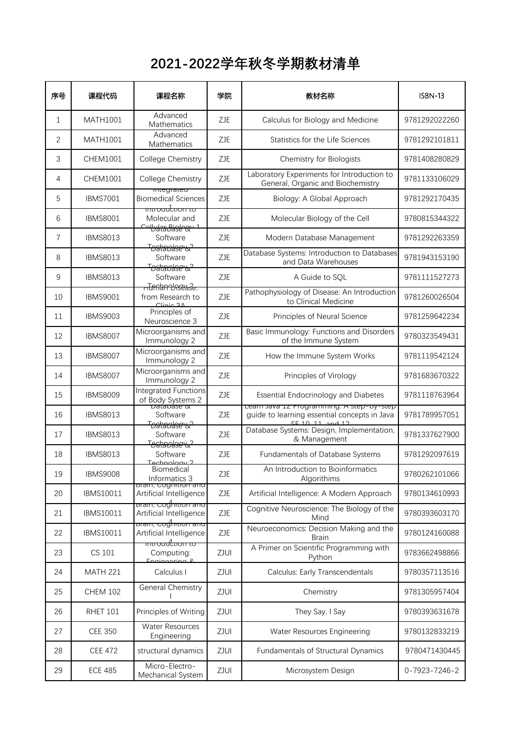## **2021-2022学年秋冬学期教材清单**

| 序号 | 课程代码            | 课程名称                                                                      | 学院         | 教材名称                                                                                                         | <b>ISBN-13</b> |
|----|-----------------|---------------------------------------------------------------------------|------------|--------------------------------------------------------------------------------------------------------------|----------------|
| 1  | MATH1001        | Advanced<br>Mathematics                                                   | ZJE        | Calculus for Biology and Medicine                                                                            | 9781292022260  |
| 2  | MATH1001        | Advanced<br>Mathematics                                                   | ZJE        | Statistics for the Life Sciences                                                                             | 9781292101811  |
| 3  | CHEM1001        | College Chemistry                                                         | ZJE        | Chemistry for Biologists                                                                                     | 9781408280829  |
| 4  | CHEM1001        | College Chemistry                                                         | ZJE        | Laboratory Experiments for Introduction to<br>General, Organic and Biochemistry                              | 9781133106029  |
| 5  | <b>IBMS7001</b> | megrated<br><b>Biomedical Sciences</b>                                    | <b>ZJE</b> | Biology: A Global Approach                                                                                   | 9781292170435  |
| 6  | <b>IBMS8001</b> | <del>muoadluon to</del><br>Molecular and                                  | <b>ZJE</b> | Molecular Biology of the Cell                                                                                | 9780815344322  |
| 7  | <b>IBMS8013</b> | Colbulata Bislogy<br>Software                                             | <b>ZJE</b> | Modern Database Management                                                                                   | 9781292263359  |
| 8  | <b>IBMS8013</b> | <del>Toahaolse &amp; ?</del><br>Software                                  | <b>ZJE</b> | Database Systems: Introduction to Databases<br>and Data Warehouses                                           | 9781943153190  |
| 9  | <b>IBMS8013</b> | <del>Toahaolse &amp; ?</del><br>Software                                  | <b>ZJE</b> | A Guide to SQL                                                                                               | 9781111527273  |
| 10 | <b>IBMS9001</b> | <del>n Tinnan Unsease.</del><br>from Research to<br>Clinic 2 <sub>A</sub> | ZJE        | Pathophysiology of Disease: An Introduction<br>to Clinical Medicine                                          | 9781260026504  |
| 11 | <b>IBMS9003</b> | Principles of<br>Neuroscience 3                                           | ZJE        | Principles of Neural Science                                                                                 | 9781259642234  |
| 12 | <b>IBMS8007</b> | Microorganisms and<br>Immunology 2                                        | ZJE        | Basic Immunology: Functions and Disorders<br>of the Immune System                                            | 9780323549431  |
| 13 | <b>IBMS8007</b> | Microorganisms and<br>Immunology 2                                        | <b>ZJE</b> | How the Immune System Works                                                                                  | 9781119542124  |
| 14 | <b>IBMS8007</b> | Microorganisms and<br>Immunology 2                                        | <b>ZJE</b> | Principles of Virology                                                                                       | 9781683670322  |
| 15 | <b>IBMS8009</b> | <b>Integrated Functions</b><br>of Body Systems 2                          | <b>ZJE</b> | Essential Endocrinology and Diabetes                                                                         | 9781118763964  |
| 16 | <b>IBMS8013</b> | Database &<br>Software                                                    | ZJE        | Learn Java 12 Programming. A step-by-step<br>guide to learning essential concepts in Java<br>SE 10 11 and 12 | 9781789957051  |
| 17 | <b>IBMS8013</b> | Toahandser& <sup>2</sup><br>Software                                      | <b>ZJE</b> | Database Systems: Design, Implementation,<br>& Management                                                    | 9781337627900  |
| 18 | <b>IBMS8013</b> | <del>Toahaolse &amp; ?</del><br>Software<br>Tochnology <sup>2</sup>       | ZJE        | <b>Fundamentals of Database Systems</b>                                                                      | 9781292097619  |
| 19 | <b>IBMS9008</b> | Biomedical<br>Informatics 3                                               | ZJE        | An Introduction to Bioinformatics<br>Algorithims                                                             | 9780262101066  |
| 20 | IBMS10011       | bram, Cogmuon and<br>Artificial Intelligence                              | ZJE        | Artificial Intelligence: A Modern Approach                                                                   | 9780134610993  |
| 21 | IBMS10011       | <u> bram, cogmuon and</u><br>Artificial Intelligence                      | ZJE        | Cognitive Neuroscience: The Biology of the<br>Mind                                                           | 9780393603170  |
| 22 | IBMS10011       | <del>brain, Coghition and</del><br>Artificial Intelligence                | ZJE        | Neuroeconomics: Decision Making and the<br><b>Brain</b>                                                      | 9780124160088  |
| 23 | CS 101          | <del>mnoudlnon to</del><br>Computing:<br>Engineering 8                    | ZJUI       | A Primer on Scientific Programming with<br>Python                                                            | 9783662498866  |
| 24 | <b>MATH 221</b> | Calculus I                                                                | ZJUI       | Calculus: Early Transcendentals                                                                              | 9780357113516  |
| 25 | <b>CHEM 102</b> | General Chemistry                                                         | ZJUI       | Chemistry                                                                                                    | 9781305957404  |
| 26 | <b>RHET 101</b> | Principles of Writing                                                     | ZJUI       | They Say, I Say                                                                                              | 9780393631678  |
| 27 | <b>CEE 350</b>  | Water Resources<br>Engineering                                            | ZJUI       | Water Resources Engineering                                                                                  | 9780132833219  |
| 28 | <b>CEE 472</b>  | structural dynamics                                                       | ZJUI       | Fundamentals of Structural Dynamics                                                                          | 9780471430445  |
| 29 | <b>ECE 485</b>  | Micro-Electro-<br>Mechanical System                                       | ZJUI       | Microsystem Design                                                                                           | 0-7923-7246-2  |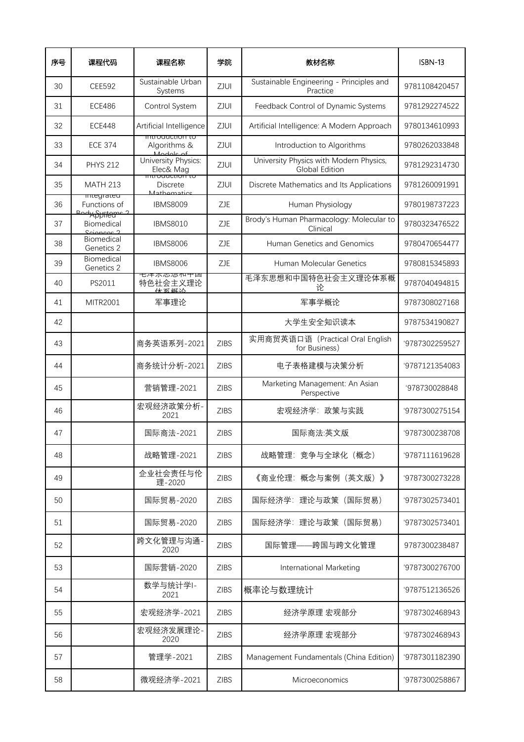| 序号 | 课程代码                                           | 课程名称                                                        | 学院          | 教材名称                                                      | ISBN-13        |
|----|------------------------------------------------|-------------------------------------------------------------|-------------|-----------------------------------------------------------|----------------|
| 30 | <b>CEE592</b>                                  | Sustainable Urban<br>Systems                                | ZJUI        | Sustainable Engineering - Principles and<br>Practice      | 9781108420457  |
| 31 | <b>ECE486</b>                                  | Control System                                              | ZJUI        | Feedback Control of Dynamic Systems                       | 9781292274522  |
| 32 | <b>ECE448</b>                                  | Artificial Intelligence                                     | ZJUI        | Artificial Intelligence: A Modern Approach                | 9780134610993  |
| 33 | <b>ECE 374</b>                                 | ππισαυτιισπ το<br>Algorithms &<br>Modols of                 | ZJUI        | Introduction to Algorithms                                | 9780262033848  |
| 34 | <b>PHYS 212</b>                                | University Physics:<br>Elec& Mag<br><del>muoqueuon to</del> | ZJUI        | University Physics with Modern Physics,<br>Global Edition | 9781292314730  |
| 35 | <b>MATH 213</b>                                | <b>Discrete</b><br>Mathomatics                              | ZJUI        | Discrete Mathematics and Its Applications                 | 9781260091991  |
| 36 | miegrateu<br>Functions of<br><u>dy Philame</u> | <b>IBMS8009</b>                                             | ZJE         | Human Physiology                                          | 9780198737223  |
| 37 | Biomedical<br>Sciences 2                       | <b>IBMS8010</b>                                             | <b>ZJE</b>  | Brody's Human Pharmacology: Molecular to<br>Clinical      | 9780323476522  |
| 38 | Biomedical<br>Genetics 2                       | <b>IBMS8006</b>                                             | <b>ZJE</b>  | Human Genetics and Genomics                               | 9780470654477  |
| 39 | Biomedical<br>Genetics 2                       | <b>IBMS8006</b>                                             | ZJE         | Human Molecular Genetics                                  | 9780815345893  |
| 40 | PS2011                                         | 七冲不心恐仰中凹<br>特色社会主义理论<br>休玄趣态                                |             | 毛泽东思想和中国特色社会主义理论体系概<br>论                                  | 9787040494815  |
| 41 | MITR2001                                       | 军事理论                                                        |             | 军事学概论                                                     | 9787308027168  |
| 42 |                                                |                                                             |             | 大学生安全知识读本                                                 | 9787534190827  |
| 43 |                                                | 商务英语系列-2021                                                 | <b>ZIBS</b> | 实用商贸英语口语 (Practical Oral English<br>for Business)         | '9787302259527 |
| 44 |                                                | 商务统计分析-2021                                                 | <b>ZIBS</b> | 电子表格建模与决策分析                                               | '9787121354083 |
| 45 |                                                | 营销管理-2021                                                   | <b>ZIBS</b> | Marketing Management: An Asian<br>Perspective             | '978730028848  |
| 46 |                                                | 宏观经济政策分析-<br>2021                                           | <b>ZIBS</b> | 宏观经济学: 政策与实践                                              | '9787300275154 |
| 47 |                                                | 国际商法-2021                                                   | <b>ZIBS</b> | 国际商法:英文版                                                  | '9787300238708 |
| 48 |                                                | 战略管理-2021                                                   | <b>ZIBS</b> | 战略管理: 竞争与全球化 (概念)                                         | '9787111619628 |
| 49 |                                                | 企业社会责任与伦<br>理-2020                                          | <b>ZIBS</b> | 《商业伦理:概念与案例(英文版)》                                         | '9787300273228 |
| 50 |                                                | 国际贸易-2020                                                   | <b>ZIBS</b> | 国际经济学: 理论与政策 (国际贸易)                                       | '9787302573401 |
| 51 |                                                | 国际贸易-2020                                                   | <b>ZIBS</b> | 国际经济学: 理论与政策 (国际贸易)                                       | '9787302573401 |
| 52 |                                                | 跨文化管理与沟通-<br>2020                                           | <b>ZIBS</b> | 国际管理——跨国与跨文化管理                                            | 9787300238487  |
| 53 |                                                | 国际营销-2020                                                   | <b>ZIBS</b> | International Marketing                                   | '9787300276700 |
| 54 |                                                | 数学与统计学I-<br>2021                                            | <b>ZIBS</b> | 概率论与数理统计                                                  | '9787512136526 |
| 55 |                                                | 宏观经济学-2021                                                  | <b>ZIBS</b> | 经济学原理 宏观部分                                                | '9787302468943 |
| 56 |                                                | 宏观经济发展理论-<br>2020                                           | <b>ZIBS</b> | 经济学原理 宏观部分                                                | '9787302468943 |
| 57 |                                                | 管理学-2021                                                    | <b>ZIBS</b> | Management Fundamentals (China Edition)                   | '9787301182390 |
| 58 |                                                | 微观经济学-2021                                                  | <b>ZIBS</b> | Microeconomics                                            | '9787300258867 |